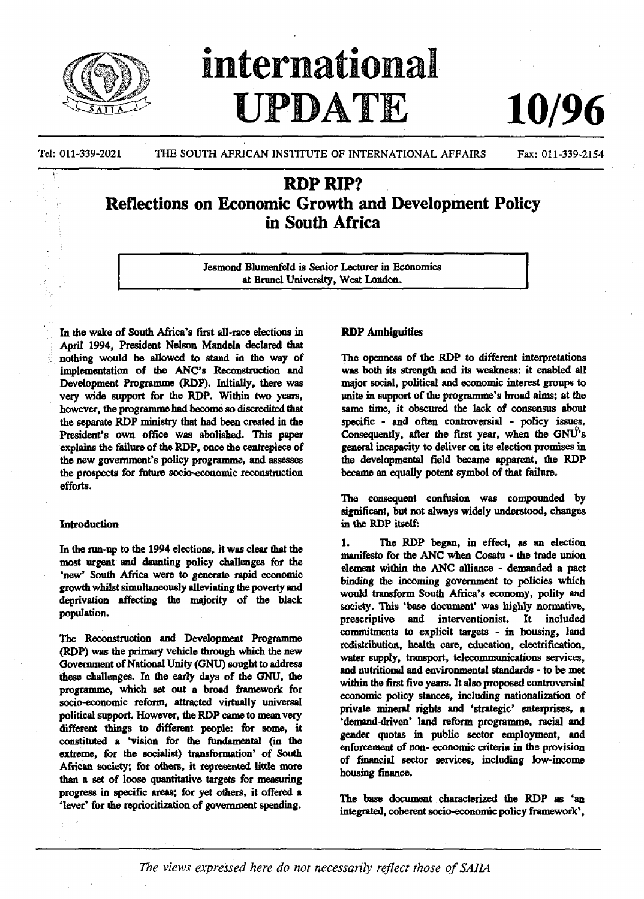

# international UPDATE

Tel: 011-339-2021 THE SOUTH AFRICAN INSTITUTE OF INTERNATIONAL AFFAIRS Fax: 011-339-2154

**10/96**

## RDP RIP? Reflections on Economic Growth and Development Policy in South Africa

Jesmond Blumenfeld is Senior Lecturer in Economics at Brunei University, West London.

In the wake of South Africa's first all-race elections in April 1994, President Nelson Mandela declared that nothing would be allowed to stand in the way of implementation of the ANC's Reconstruction and Development Programme (RDP). Initially, there was very wide support for the RDP. Within two years, however, the programme had become so discredited that the separate RDP ministry that had been created in the President's own office was abolished. This paper explains the failure of the RDP, once the centrepiece of the new government's policy programme, and assesses the prospects for future socio-economic reconstruction efforts.

#### Introduction

In the run-up to the 1994 elections, it was clear that the most urgent and daunting policy challenges for the 'new' South Africa were to generate rapid economic growth whilst simultaneously alleviating the poverty and deprivation affecting the majority of the black population.

The Reconstruction and Development Programme (RDP) was the primary vehicle through which the new Government of National Unity (GNU) sought to address these challenges. In the early days of the GNU, the programme, which set out a broad framework for socio-economic reform, attracted virtually universal political support. However, the RDP came to mean very different things to different people: for some, it constituted a 'vision for the fundamental (in the extreme, for the socialist) transformation' of South African society; for others, it represented little more than a set of loose quantitative targets for measuring progress in specific areas; for yet others, it offered a 'lever' for the reprioritization of government spending.

#### **RDP** Ambiguities

The openness of the RDP to different interpretations was both its strength and its weakness: it enabled all major social, political and economic interest groups to unite in support of the programme's broad aims; at the same time, it obscured the lack of consensus about specific - and often controversial - policy issues. Consequently, after the first year, when the  $GNU<sup>6</sup>$ s general incapacity to deliver on its election promises in the developmental field became apparent, the RDP became an equally potent symbol of that failure.

The consequent confusion was compounded by significant, but not always widely understood, changes in the RDP itself:

1. The RDP began, in effect, as an election manifesto for the ANC when Cosatu • the trade union element within the ANC alliance - demanded a pact binding the incoming government to policies which would transform South Africa's economy, polity and society. This 'base document' was highly normative, prescriptive and interventionist. It included commitments to explicit targets - in housing, land redistribution, health care, education, electrification, water supply, transport, telecommunications services, and nutritional and environmental standards - to be met within the first five years. It also proposed controversial economic policy stances, including nationalization of private mineral rights and 'strategic' enterprises, a 'demand-driven' land reform programme, racial and gender quotas in public sector employment, and enforcement of non- economic criteria in the provision of financial sector services, including low-income housing finance.

The base document characterized the RDP as 'an integrated, coherent socio-economic policy framework\*,

The views expressed here do not necessarily reflect those of SAIIA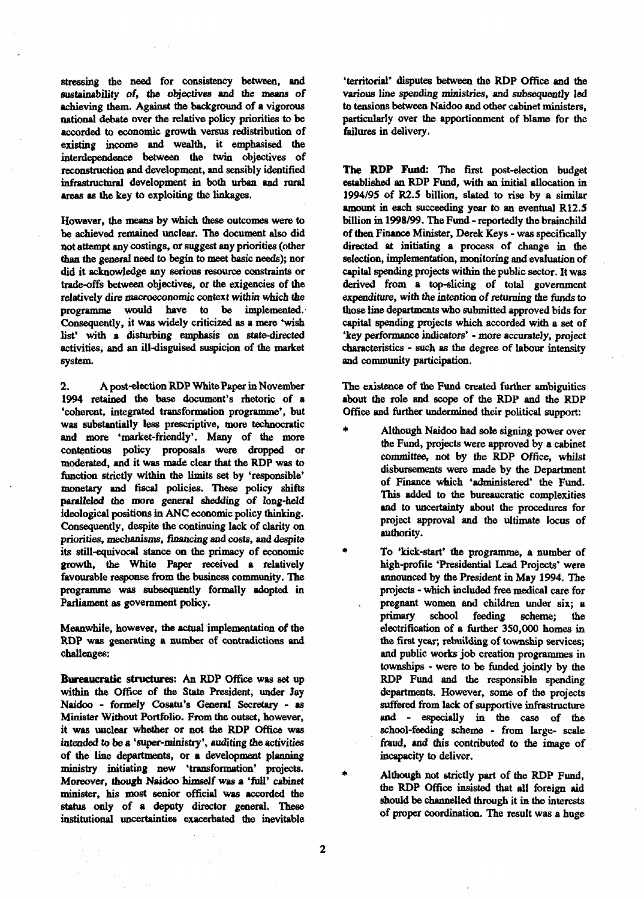stressing the need for consistency between, and sustainability of, the objectives and the means of achieving them. Against the background of a vigorous national debate over the relative policy priorities to be accorded to economic growth versus redistribution of existing income and wealth, it emphasised the interdependence between the twin objectives of reconstruction and development, and sensibly identified infrastructural development in both urban and rural areas as the key to exploiting the linkages.

However, the means by which these outcomes were to be achieved remained unclear. The document also did not attempt any costings, or suggest any priorities (other than the general need to begin to meet basic needs); nor did it acknowledge any serious resource constraints or trade-offs between objectives, or the exigencies of die relatively dire macroeconomic context within which the programme would have to be implemented. Consequently, it was widely criticized as a mere 'wish list' with a disturbing emphasis on state-directed activities, and an ill-disguised suspicion of the market system.

2. A post-election RDP White Paper in November 1994 retained the base document's rhetoric of a 'coherent, integrated transformation programme\*, but was substantially less prescriptive, more technocratic and more 'market-friendly'. Many of the more contentious policy proposals were dropped or moderated, and it was made clear that the RDP was to function strictly within the limits set by 'responsible' monetary and fiscal policies. These policy shifts paralleled the more general shedding of long-held ideological positions in ANC economic policy thinking. Consequently, despite the continuing lack of clarity on priorities, mechanisms, financing and *costs,* and despite its still-equivocal stance on the primacy of economic growth, the White Paper received a relatively favourable response from the business community. The programme was subsequently formally adopted in Parliament as government policy.

Meanwhile, however, the actual implementation of the RDP was generating a number of contradictions and challenges:

**Bureaucratic** structures: An RDP Office was set up within the Office of the State President, under Jay Naidoo - formely Cosatu's General Secretary - as Minister Without Portfolio. From the outset, however, it was unclear whether or not the RDP Office was intended to be a 'super-ministry', auditing the activities of the line departments, or a development planning ministry initiating new 'transformation' projects. Moreover, though Naidoo himself was a 'full' cabinet minister, his most senior official was accorded the status only of a deputy director general. These institutional uncertainties exacerbated the inevitable

'territorial' disputes between the RDP Office and the various line spending ministries, and subsequently led to tensions between Naidoo and other cabinet ministers, particularly over the apportionment of blame for the failures in delivery.

**The RDP Fund:** The first post-election budget established an RDP Fund, with an initial allocation in 1994/95 of R2.5 billion, slated to rise by a similar amount in each succeeding year to an eventual R12.S billion in 1998/99. The Fund - reportedly the brainchild of then Finance Minister, Derek Keys - was specifically directed at initiating a process of change in the selection, implementation, monitoring and evaluation of capital spending projects within the public sector. It was derived from a top-slicing of total government expenditure, *with* the intention of returning the funds to those line departments who submitted approved bids for capital spending projects which accorded with a set of 'key performance indicators' - more accurately, project characteristics - such as the degree of labour intensity and community participation.

The existence of the Fund created further ambiguities about the role and scope of the RDP and the RDP Office and further undermined their political support:

- Although Naidoo had sole signing power over the Fund, projects were approved by a cabinet committee, not by the RDP Office, whilst disbursements were made by the Department of Finance which 'administered' the Fund. This added to the bureaucratic complexities and to uncertainty about the procedures for project approval and the ultimate locus of authority.
	- To 'kick-start' the programme, a number of high-profile 'Presidential Lead Projects' were announced by the President in May 1994. The projects - which included free medical care for pregnant women and children under six; a primary school feeding scheme; the electrification of a further 350,000 homes in the first year; rebuilding of township services; and public works job creation programmes in townships - were to be funded jointly by the RDP Fund and the responsible spending departments. However, some of the projects suffered from lack of supportive infrastructure and - especially in the case of the school-feeding scheme - from large- scale fraud, and this contributed to the image of incapacity to deliver.

Although not strictly part of the RDP Fund, the RDP Office insisted that all foreign aid should be channelled through it in the interests of proper coordination. The result was a huge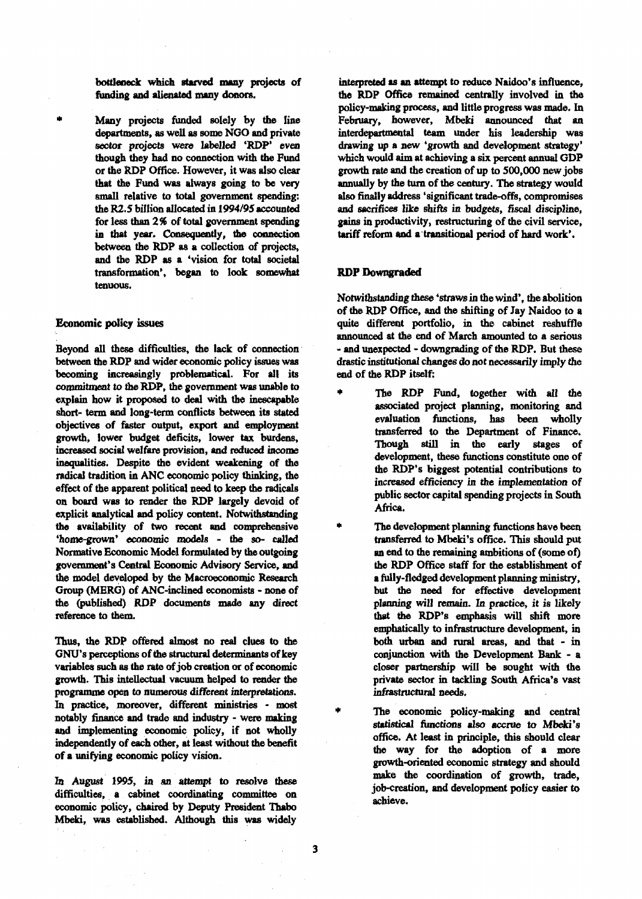**bottleneck which starved many projects of funding and alienated many donors.**

**Many projects funded solely by the line departments, as well as some NGO and private sector projects were labelled 'RDP' even though they had no connection with the Fund or the RDP Office. However, it was also clear that the Fund was always going to be very small relative to total government spending: the R2.5 billion allocated in 1994/95 accounted for less than** *2%* **of total government spending in that year. Consequently, the connection between the RDP as a collection of projects, and the RDP as a 'vision for total societal transformation\*, began to look somewhat tenuous.**

#### **Economic policy issues**

e la

**Beyond all these difficulties, the lack of connection between the RDP and wider economic policy issues was becoming increasingly problematical. For all its commitment to the RDP, the government was unable to explain how it proposed to deal with the inescapable short- term and long-term conflicts between its stated objectives of faster output, export and employment growth, lower budget deficits, lower tax burdens, increased social welfare provision, and reduced income inequalities. Despite the evident weakening of the radical tradition in ANC economic policy thinking, the effect of the apparent political need to keep the radicals on board was to render the RDP largely devoid of explicit analytical and policy content. Notwithstanding the availability of two recent and comprehensive 'home-grown' economic models - the so- called Normative Economic Model formulated by the outgoing government's Central Economic Advisory Service, and the model developed by the Macroeconomic Research Group (MERG) of ANC-inclined economists - none of the (published) RDP documents made any direct reference to them.**

*Thus,* **the RDP offered almost no real clues to the GNU's perceptions of the structural determinants of key variables such as the rate of job creation or of economic growth. This intellectual vacuum helped to render the programme open to numerous different interpretations. In practice, moreover, different ministries - most notably finance and trade and industry - were making and implementing economic policy, if not wholly independently of each other, at least without the benefit of a unifying economic policy vision.**

**In August 1995, in an attempt to resolve these difficulties, a cabinet coordinating committee on economic policy, chaired by Deputy President Thabo Mbeld, was established. Although this was widely**

**interpreted as an attempt to reduce Naidoo's influence, the RDP Office remained centrally involved in the policy-making process, and little progress was made. In February, however, Mbeki announced that an interdepartmental team under his leadership was drawing up a new 'growth and development strategy\* which would aim at achieving a six percent annual GDP growth rate and the creation of up to 500,000 new jobs annually by the turn of the century. The strategy would also finally address 'significant trade-offs, compromises and sacrifices like shifts in budgets, fiscal discipline, gains in productivity, restructuring of the civil service, tariff reform and a transitional period of hard work\*.**

#### **RDP Downgraded**

**Notwithstanding these 'straws in the wind<sup>1</sup> , the abolition of the RDP Office, and the shifting of Jay Naidoo to a quite different portfolio, in the cabinet reshuffle announced at the end of March amounted to a serious - and unexpected - downgrading of the RDP. But these drastic institutional changes do not necessarily imply the end of the RDP itself:**

- **\* The RDP Fund, together with all the associated project planning, monitoring and evaluation functions, has been wholly transferred to the Department of Finance. Though still in the early stages of development, these functions constitute one of the RDP's biggest potential contributions to increased** *efficiency in* **the implementation of public sector capital spending projects in South Africa.**
	- **\* The development planning functions have been transferred to Mbeki's office. This should put an end to the remaining ambitions of (some of) the RDP Office staff for the establishment of a fully-fledged development planning ministry, but the need for effective development planning will remain. In practice, it** *is* **likely that the RDP's emphasis will shift more emphatically to infrastructure development, in** both urban and rural areas, and that - in **conjunction with the Development Bank - a closer partnership will be sought with the private sector in tackling South Africa's vast** infrastructural needs.

The economic policy-making and central **statistical functions also accrue to Mbeki's office. At least in principle, this should clear the way for the adoption of a more growth-oriented economic strategy and should make the coordination of growth, trade, job-creation, and development policy easier to achieve.**